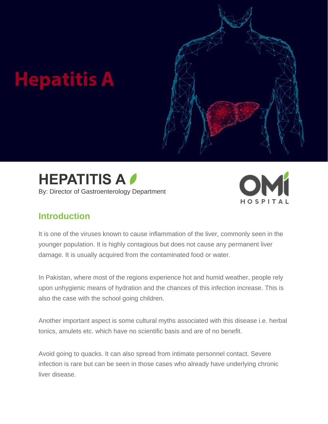







### **Introduction**

It is one of the viruses known to cause inflammation of the liver, commonly seen in the younger population. It is highly contagious but does not cause any permanent liver damage. It is usually acquired from the contaminated food or water.

In Pakistan, where most of the regions experience hot and humid weather, people rely upon unhygienic means of hydration and the chances of this infection increase. This is also the case with the school going children.

Another important aspect is some cultural myths associated with this disease i.e. herbal tonics, amulets etc. which have no scientific basis and are of no benefit.

Avoid going to quacks. It can also spread from intimate personnel contact. Severe infection is rare but can be seen in those cases who already have underlying chronic liver disease.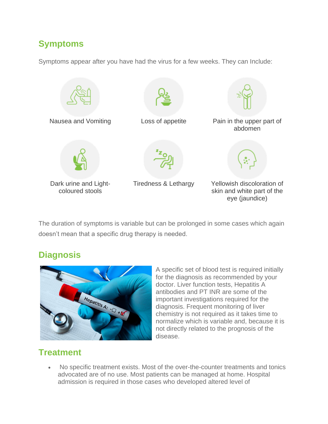## **Symptoms**

Symptoms appear after you have had the virus for a few weeks. They can Include:



The duration of symptoms is variable but can be prolonged in some cases which again doesn't mean that a specific drug therapy is needed.

### **Diagnosis**



A specific set of blood test is required initially for the diagnosis as recommended by your doctor. Liver function tests, Hepatitis A antibodies and PT INR are some of the important investigations required for the diagnosis. Frequent monitoring of liver chemistry is not required as it takes time to normalize which is variable and, because it is not directly related to the prognosis of the disease.

### **Treatment**

• No specific treatment exists. Most of the over-the-counter treatments and tonics advocated are of no use. Most patients can be managed at home. Hospital admission is required in those cases who developed altered level of